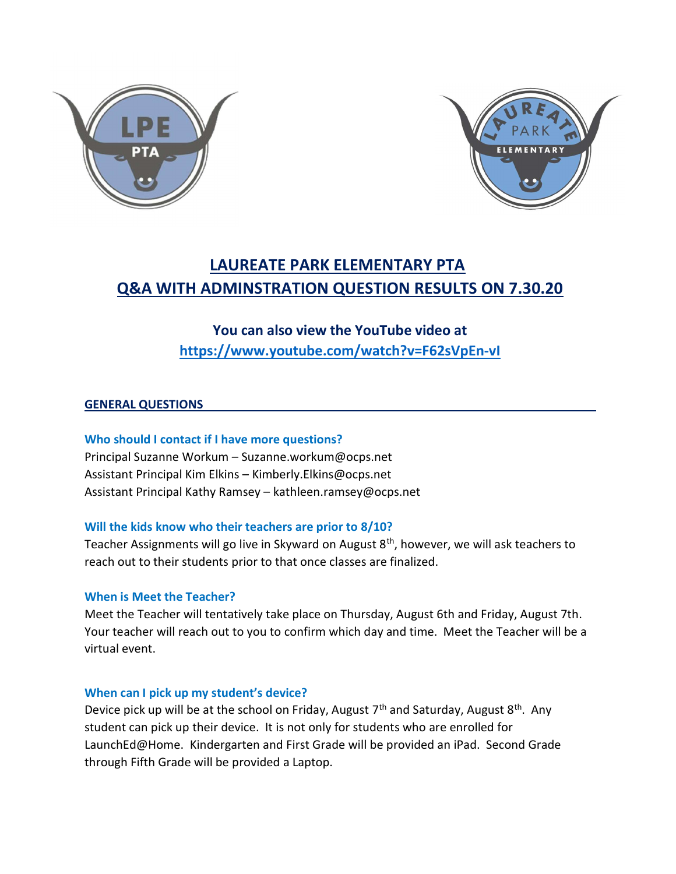



## LAUREATE PARK ELEMENTARY PTA Q&A WITH ADMINSTRATION QUESTION RESULTS ON 7.30.20

## You can also view the YouTube video at

https://www.youtube.com/watch?v=F62sVpEn-vI

#### GENERAL QUESTIONS

Who should I contact if I have more questions?

Principal Suzanne Workum – Suzanne.workum@ocps.net Assistant Principal Kim Elkins – Kimberly.Elkins@ocps.net Assistant Principal Kathy Ramsey – kathleen.ramsey@ocps.net

#### Will the kids know who their teachers are prior to 8/10?

Teacher Assignments will go live in Skyward on August 8<sup>th</sup>, however, we will ask teachers to reach out to their students prior to that once classes are finalized.

#### When is Meet the Teacher?

Meet the Teacher will tentatively take place on Thursday, August 6th and Friday, August 7th. Your teacher will reach out to you to confirm which day and time. Meet the Teacher will be a virtual event.

#### When can I pick up my student's device?

Device pick up will be at the school on Friday, August  $7<sup>th</sup>$  and Saturday, August  $8<sup>th</sup>$ . Any student can pick up their device. It is not only for students who are enrolled for LaunchEd@Home. Kindergarten and First Grade will be provided an iPad. Second Grade through Fifth Grade will be provided a Laptop.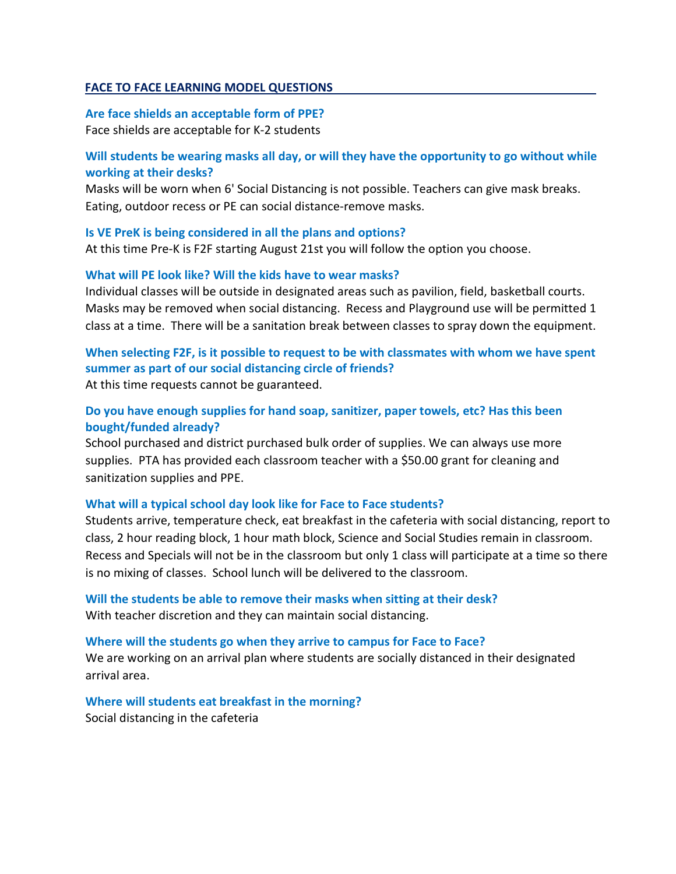#### FACE TO FACE LEARNING MODEL QUESTIONS

#### Are face shields an acceptable form of PPE?

Face shields are acceptable for K-2 students

#### Will students be wearing masks all day, or will they have the opportunity to go without while working at their desks?

Masks will be worn when 6' Social Distancing is not possible. Teachers can give mask breaks. Eating, outdoor recess or PE can social distance-remove masks.

#### Is VE PreK is being considered in all the plans and options?

At this time Pre-K is F2F starting August 21st you will follow the option you choose.

#### What will PE look like? Will the kids have to wear masks?

Individual classes will be outside in designated areas such as pavilion, field, basketball courts. Masks may be removed when social distancing. Recess and Playground use will be permitted 1 class at a time. There will be a sanitation break between classes to spray down the equipment.

### When selecting F2F, is it possible to request to be with classmates with whom we have spent summer as part of our social distancing circle of friends?

At this time requests cannot be guaranteed.

#### Do you have enough supplies for hand soap, sanitizer, paper towels, etc? Has this been bought/funded already?

School purchased and district purchased bulk order of supplies. We can always use more supplies. PTA has provided each classroom teacher with a \$50.00 grant for cleaning and sanitization supplies and PPE.

#### What will a typical school day look like for Face to Face students?

Students arrive, temperature check, eat breakfast in the cafeteria with social distancing, report to class, 2 hour reading block, 1 hour math block, Science and Social Studies remain in classroom. Recess and Specials will not be in the classroom but only 1 class will participate at a time so there is no mixing of classes. School lunch will be delivered to the classroom.

# Will the students be able to remove their masks when sitting at their desk?

With teacher discretion and they can maintain social distancing.

#### Where will the students go when they arrive to campus for Face to Face?

We are working on an arrival plan where students are socially distanced in their designated arrival area.

### Where will students eat breakfast in the morning?

Social distancing in the cafeteria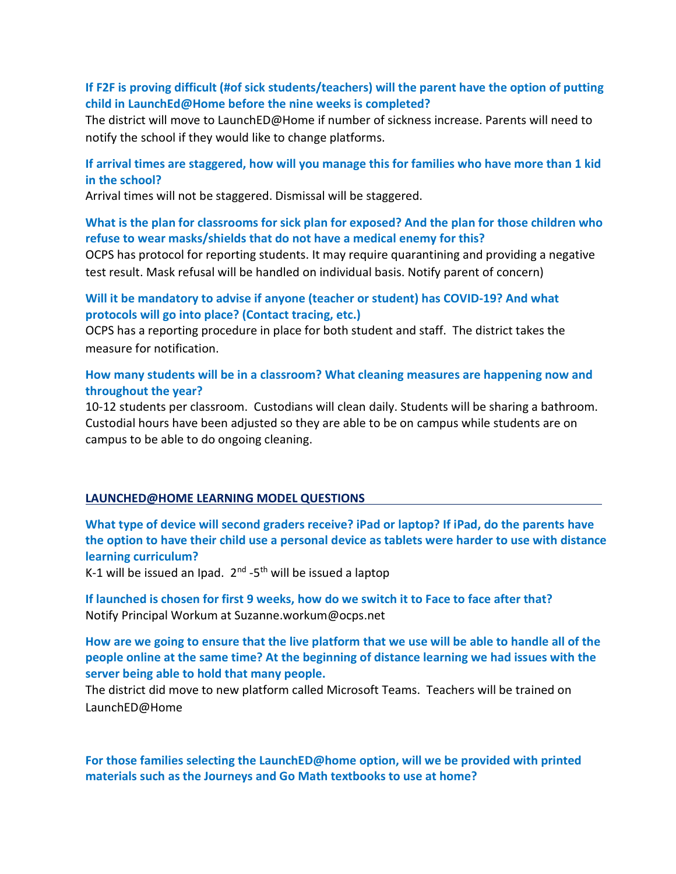#### If F2F is proving difficult (#of sick students/teachers) will the parent have the option of putting child in LaunchEd@Home before the nine weeks is completed?

The district will move to LaunchED@Home if number of sickness increase. Parents will need to notify the school if they would like to change platforms.

#### If arrival times are staggered, how will you manage this for families who have more than 1 kid in the school?

Arrival times will not be staggered. Dismissal will be staggered.

#### What is the plan for classrooms for sick plan for exposed? And the plan for those children who refuse to wear masks/shields that do not have a medical enemy for this?

OCPS has protocol for reporting students. It may require quarantining and providing a negative test result. Mask refusal will be handled on individual basis. Notify parent of concern)

#### Will it be mandatory to advise if anyone (teacher or student) has COVID-19? And what protocols will go into place? (Contact tracing, etc.)

OCPS has a reporting procedure in place for both student and staff. The district takes the measure for notification.

#### How many students will be in a classroom? What cleaning measures are happening now and throughout the year?

10-12 students per classroom. Custodians will clean daily. Students will be sharing a bathroom. Custodial hours have been adjusted so they are able to be on campus while students are on campus to be able to do ongoing cleaning.

#### LAUNCHED@HOME LEARNING MODEL QUESTIONS

What type of device will second graders receive? iPad or laptop? If iPad, do the parents have the option to have their child use a personal device as tablets were harder to use with distance learning curriculum?

K-1 will be issued an Ipad.  $2^{nd}$  -5<sup>th</sup> will be issued a laptop

If launched is chosen for first 9 weeks, how do we switch it to Face to face after that? Notify Principal Workum at Suzanne.workum@ocps.net

How are we going to ensure that the live platform that we use will be able to handle all of the people online at the same time? At the beginning of distance learning we had issues with the server being able to hold that many people.

The district did move to new platform called Microsoft Teams. Teachers will be trained on LaunchED@Home

For those families selecting the LaunchED@home option, will we be provided with printed materials such as the Journeys and Go Math textbooks to use at home?